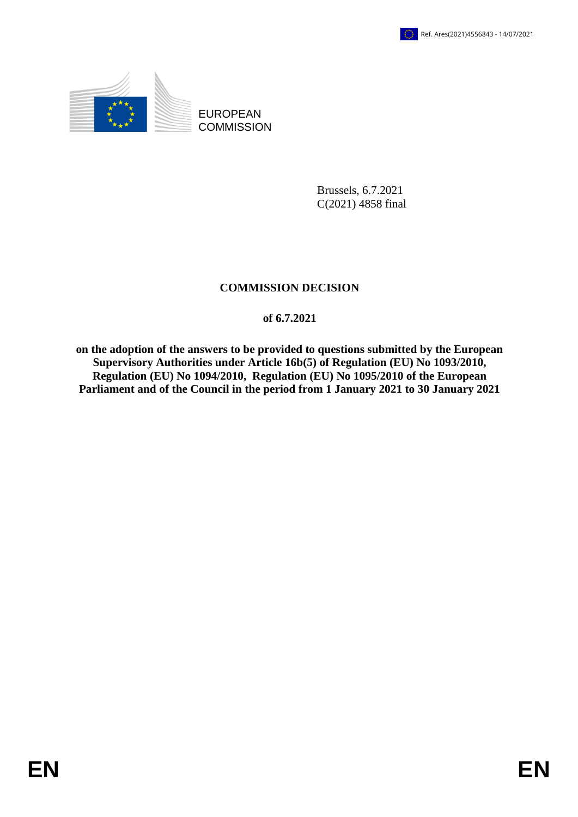

EUROPEAN **COMMISSION** 

> Brussels, 6.7.2021 C(2021) 4858 final

# **COMMISSION DECISION**

### **of 6.7.2021**

**on the adoption of the answers to be provided to questions submitted by the European Supervisory Authorities under Article 16b(5) of Regulation (EU) No 1093/2010, Regulation (EU) No 1094/2010, Regulation (EU) No 1095/2010 of the European Particular Council in the Council in the period from 1 January 2021 to 30 January 2021**<br> **Parliament and of the council in the period from 1 January 2021 to 30 January 2021**<br> **Parliament and of the Council in the period f**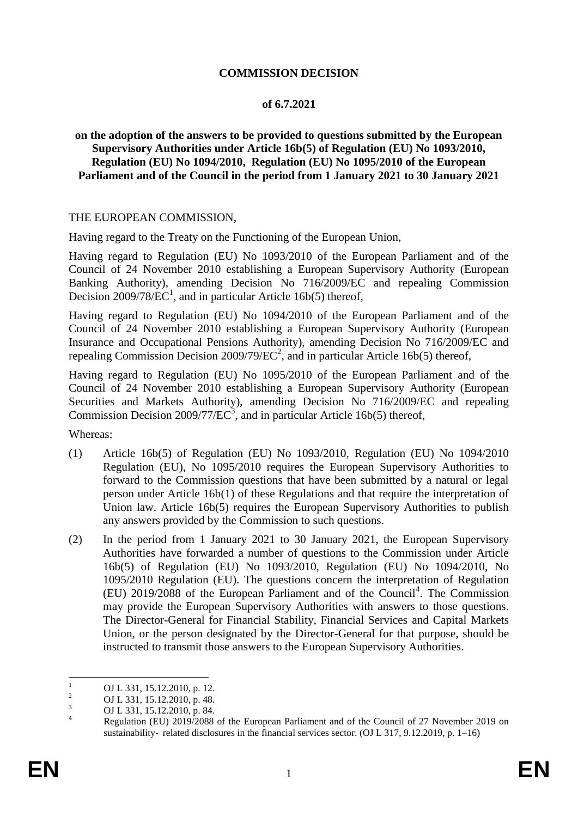## **COMMISSION DECISION**

## **of 6.7.2021**

### **on the adoption of the answers to be provided to questions submitted by the European Supervisory Authorities under Article 16b(5) of Regulation (EU) No 1093/2010, Regulation (EU) No 1094/2010, Regulation (EU) No 1095/2010 of the European Parliament and of the Council in the period from 1 January 2021 to 30 January 2021**

### THE EUROPEAN COMMISSION,

Having regard to the Treaty on the Functioning of the European Union,

Having regard to Regulation (EU) No 1093/2010 of the European Parliament and of the Council of 24 November 2010 establishing a European Supervisory Authority (European Banking Authority), amending Decision No 716/2009/EC and repealing Commission Decision 2009/78/ $\text{EC}^1$ , and in particular Article 16b(5) thereof,

Having regard to Regulation (EU) No 1094/2010 of the European Parliament and of the Council of 24 November 2010 establishing a European Supervisory Authority (European Insurance and Occupational Pensions Authority), amending Decision No 716/2009/EC and repealing Commission Decision  $2009/79/EC^2$ , and in particular Article 16b(5) thereof,

Having regard to Regulation (EU) No 1095/2010 of the European Parliament and of the Council of 24 November 2010 establishing a European Supervisory Authority (European Securities and Markets Authority), amending Decision No 716/2009/EC and repealing Commission Decision 2009/77/ $EC^3$ , and in particular Article 16b(5) thereof,

Whereas:

- (1) Article 16b(5) of Regulation (EU) No 1093/2010, Regulation (EU) No 1094/2010 Regulation (EU), No 1095/2010 requires the European Supervisory Authorities to forward to the Commission questions that have been submitted by a natural or legal person under Article 16b(1) of these Regulations and that require the interpretation of Union law. Article 16b(5) requires the European Supervisory Authorities to publish any answers provided by the Commission to such questions.
- (2) In the period from 1 January 2021 to 30 January 2021, the European Supervisory Authorities have forwarded a number of questions to the Commission under Article 16b(5) of Regulation (EU) No 1093/2010, Regulation (EU) No 1094/2010, No 1095/2010 Regulation (EU). The questions concern the interpretation of Regulation (EU) 2019/2088 of the European Parliament and of the Council<sup>4</sup>. The Commission may provide the European Supervisory Authorities with answers to those questions. The Director-General for Financial Stability, Financial Services and Capital Markets Union, or the person designated by the Director-General for that purpose, should be instructed to transmit those answers to the European Supervisory Authorities.

 $\mathbf{1}$  $\frac{1}{2}$  OJ L 331, 15.12.2010, p. 12.

<sup>&</sup>lt;sup>2</sup> OJ L 331, 15.12.2010, p. 48.

 $\frac{3}{4}$  OJ L 331, 15.12.2010, p. 84.

<sup>4</sup> Regulation (EU) 2019/2088 of the European Parliament and of the Council of 27 November 2019 on sustainability-related disclosures in the financial services sector. (OJ L 317, 9.12.2019, p. 1–16)